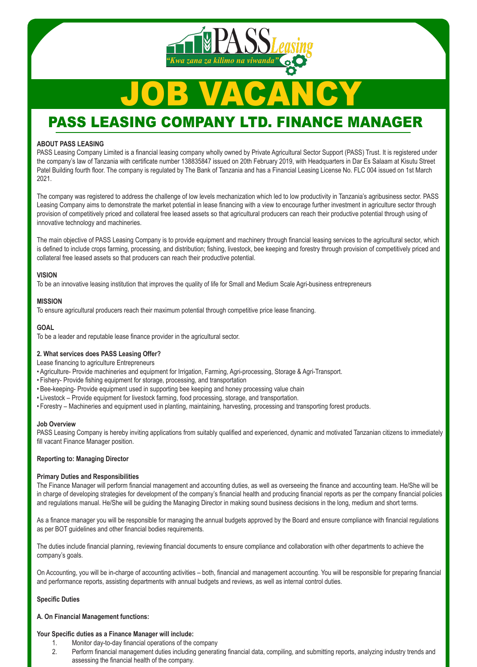### **ABOUT PASS LEASING**

PASS Leasing Company Limited is a financial leasing company wholly owned by Private Agricultural Sector Support (PASS) Trust. It is registered under the company's law of Tanzania with certificate number 138835847 issued on 20th February 2019, with Headquarters in Dar Es Salaam at Kisutu Street Patel Building fourth floor. The company is regulated by The Bank of Tanzania and has a Financial Leasing License No. FLC 004 issued on 1st March 2021.

The company was registered to address the challenge of low levels mechanization which led to low productivity in Tanzania's agribusiness sector. PASS Leasing Company aims to demonstrate the market potential in lease financing with a view to encourage further investment in agriculture sector through provision of competitively priced and collateral free leased assets so that agricultural producers can reach their productive potential through using of innovative technology and machineries.

The main objective of PASS Leasing Company is to provide equipment and machinery through financial leasing services to the agricultural sector, which is defined to include crops farming, processing, and distribution; fishing, livestock, bee keeping and forestry through provision of competitively priced and collateral free leased assets so that producers can reach their productive potential.

### **VISION**

To be an innovative leasing institution that improves the quality of life for Small and Medium Scale Agri-business entrepreneurs

### **MISSION**

To ensure agricultural producers reach their maximum potential through competitive price lease financing.

## **GOAL**

To be a leader and reputable lease finance provider in the agricultural sector.

### **2. What services does PASS Leasing Offer?**

Lease financing to agriculture Entrepreneurs

- Agriculture- Provide machineries and equipment for Irrigation, Farming, Agri-processing, Storage & Agri-Transport.
- Fishery- Provide fishing equipment for storage, processing, and transportation
- Bee-keeping- Provide equipment used in supporting bee keeping and honey processing value chain
- Livestock Provide equipment for livestock farming, food processing, storage, and transportation.
- Forestry Machineries and equipment used in planting, maintaining, harvesting, processing and transporting forest products.

### **Job Overview**

PASS Leasing Company is hereby inviting applications from suitably qualified and experienced, dynamic and motivated Tanzanian citizens to immediately fill vacant Finance Manager position.

### **Reporting to: Managing Director**

### **Primary Duties and Responsibilities**

The Finance Manager will perform financial management and accounting duties, as well as overseeing the finance and accounting team. He/She will be in charge of developing strategies for development of the company's financial health and producing financial reports as per the company financial policies and regulations manual. He/She will be guiding the Managing Director in making sound business decisions in the long, medium and short terms.

As a finance manager you will be responsible for managing the annual budgets approved by the Board and ensure compliance with financial regulations as per BOT guidelines and other financial bodies requirements.

The duties include financial planning, reviewing financial documents to ensure compliance and collaboration with other departments to achieve the company's goals.

On Accounting, you will be in-charge of accounting activities – both, financial and management accounting. You will be responsible for preparing financial and performance reports, assisting departments with annual budgets and reviews, as well as internal control duties.

#### **Specific Duties**

**A. On Financial Management functions:**

#### **Your Specific duties as a Finance Manager will include:**

- 1. Monitor day-to-day financial operations of the company
- 2. Perform financial management duties including generating financial data, compiling, and submitting reports, analyzing industry trends and assessing the financial health of the company.

# PASS LEASING COMPANY LTD. FINANCE MANAGER